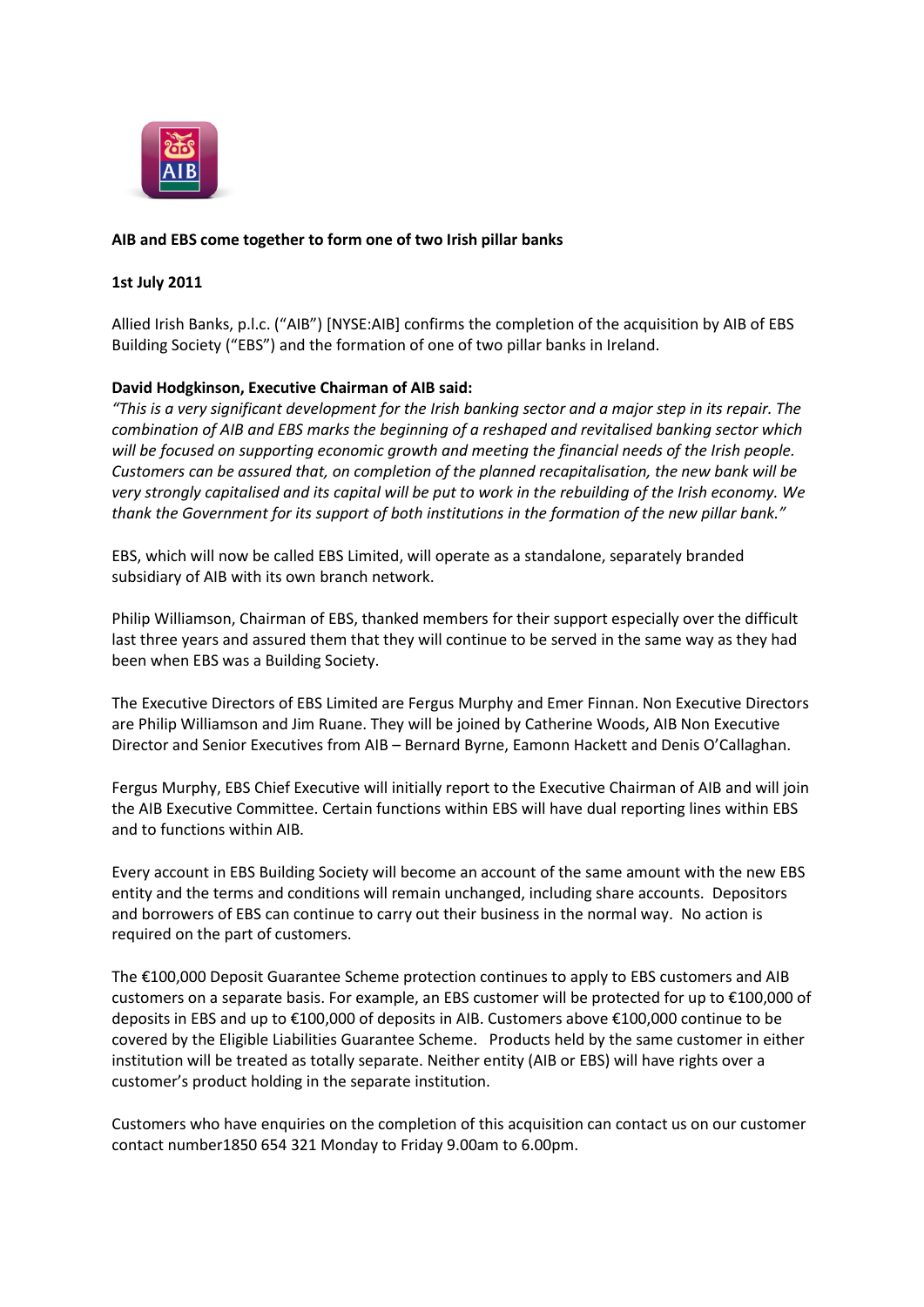

# **AIB and EBS come together to form one of two Irish pillar banks**

#### **1st July 2011**

Allied Irish Banks, p.l.c. ("AIB") [NYSE:AIB] confirms the completion of the acquisition by AIB of EBS Building Society ("EBS") and the formation of one of two pillar banks in Ireland.

### **David Hodgkinson, Executive Chairman of AIB said:**

*"This is a very significant development for the Irish banking sector and a major step in its repair. The combination of AIB and EBS marks the beginning of a reshaped and revitalised banking sector which will be focused on supporting economic growth and meeting the financial needs of the Irish people. Customers can be assured that, on completion of the planned recapitalisation, the new bank will be very strongly capitalised and its capital will be put to work in the rebuilding of the Irish economy. We thank the Government for its support of both institutions in the formation of the new pillar bank."*

EBS, which will now be called EBS Limited, will operate as a standalone, separately branded subsidiary of AIB with its own branch network.

Philip Williamson, Chairman of EBS, thanked members for their support especially over the difficult last three years and assured them that they will continue to be served in the same way as they had been when EBS was a Building Society.

The Executive Directors of EBS Limited are Fergus Murphy and Emer Finnan. Non Executive Directors are Philip Williamson and Jim Ruane. They will be joined by Catherine Woods, AIB Non Executive Director and Senior Executives from AIB – Bernard Byrne, Eamonn Hackett and Denis O'Callaghan.

Fergus Murphy, EBS Chief Executive will initially report to the Executive Chairman of AIB and will join the AIB Executive Committee. Certain functions within EBS will have dual reporting lines within EBS and to functions within AIB.

Every account in EBS Building Society will become an account of the same amount with the new EBS entity and the terms and conditions will remain unchanged, including share accounts. Depositors and borrowers of EBS can continue to carry out their business in the normal way. No action is required on the part of customers.

The €100,000 Deposit Guarantee Scheme protection continues to apply to EBS customers and AIB customers on a separate basis. For example, an EBS customer will be protected for up to €100,000 of deposits in EBS and up to €100,000 of deposits in AIB. Customers above €100,000 continue to be covered by the Eligible Liabilities Guarantee Scheme. Products held by the same customer in either institution will be treated as totally separate. Neither entity (AIB or EBS) will have rights over a customer's product holding in the separate institution.

Customers who have enquiries on the completion of this acquisition can contact us on our customer contact number1850 654 321 Monday to Friday 9.00am to 6.00pm.